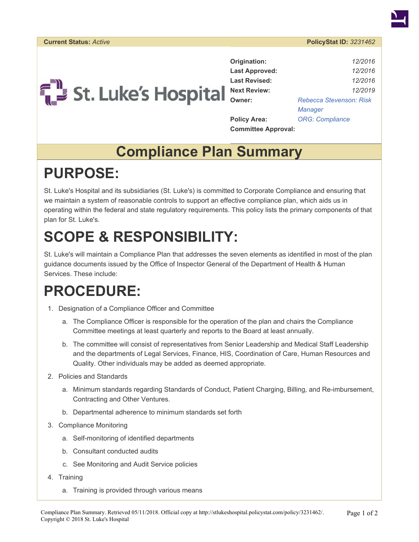



**Origination:** *12/2016* **Last Approved:** *12/2016* **Last Revised:** *12/2016* **Next Review:** *12/2019* **Owner:** *[Rebecca Stevenson: Risk](https://stlukeshospital.policystat.com/policy_search/author/?search_query=&terms=829477) [Manager](https://stlukeshospital.policystat.com/policy_search/author/?search_query=&terms=829477)* **Policy Area:** *[ORG: Compliance](https://stlukeshospital.policystat.com/policy_search/category/?search_query=&terms=41969)* **Committee Approval:**

### **Compliance Plan Summary**

# **PURPOSE:**

St. Luke's Hospital and its subsidiaries (St. Luke's) is committed to Corporate Compliance and ensuring that we maintain a system of reasonable controls to support an effective compliance plan, which aids us in operating within the federal and state regulatory requirements. This policy lists the primary components of that plan for St. Luke's.

# **SCOPE & RESPONSIBILITY:**

St. Luke's will maintain a Compliance Plan that addresses the seven elements as identified in most of the plan guidance documents issued by the Office of Inspector General of the Department of Health & Human Services. These include:

## **PROCEDURE:**

- 1. Designation of a Compliance Officer and Committee
	- a. The Compliance Officer is responsible for the operation of the plan and chairs the Compliance Committee meetings at least quarterly and reports to the Board at least annually.
	- b. The committee will consist of representatives from Senior Leadership and Medical Staff Leadership and the departments of Legal Services, Finance, HIS, Coordination of Care, Human Resources and Quality. Other individuals may be added as deemed appropriate.
- 2. Policies and Standards
	- a. Minimum standards regarding Standards of Conduct, Patient Charging, Billing, and Re-imbursement, Contracting and Other Ventures.
	- b. Departmental adherence to minimum standards set forth
- 3. Compliance Monitoring
	- a. Self-monitoring of identified departments
	- b. Consultant conducted audits
	- c. See Monitoring and Audit Service policies
- 4. Training
	- a. Training is provided through various means